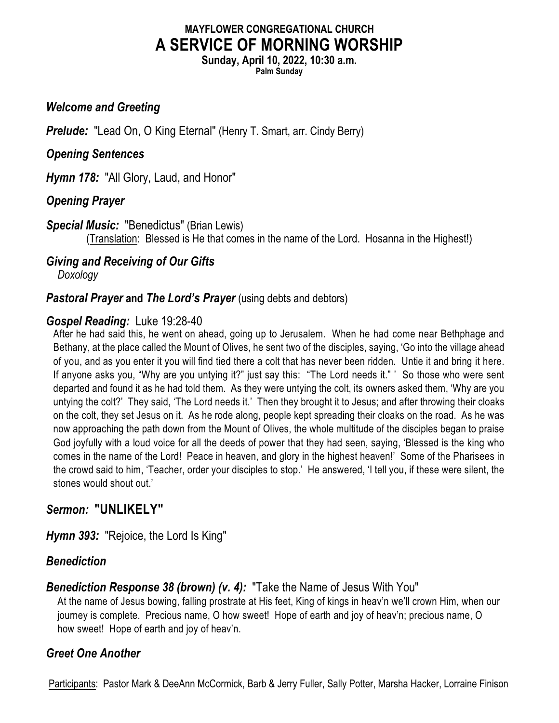# **MAYFLOWER CONGREGATIONAL CHURCH A SERVICE OF MORNING WORSHIP**

**Sunday, April 10, 2022, 10:30 a.m. Palm Sunday**

## *Welcome and Greeting*

**Prelude:** "Lead On, O King Eternal" (Henry T. Smart, arr. Cindy Berry)

#### *Opening Sentences*

*Hymn 178:* "All Glory, Laud, and Honor"

# *Opening Prayer*

*Special Music:* "Benedictus" (Brian Lewis) (Translation: Blessed is He that comes in the name of the Lord. Hosanna in the Highest!)

#### *Giving and Receiving of Our Gifts Doxology*

## **Pastoral Prayer and The Lord's Prayer** (using debts and debtors)

## *Gospel Reading:* Luke 19:28-40

After he had said this, he went on ahead, going up to Jerusalem. When he had come near Bethphage and Bethany, at the place called the Mount of Olives, he sent two of the disciples, saying, 'Go into the village ahead of you, and as you enter it you will find tied there a colt that has never been ridden. Untie it and bring it here. If anyone asks you, "Why are you untying it?" just say this: "The Lord needs it." ' So those who were sent departed and found it as he had told them. As they were untying the colt, its owners asked them, 'Why are you untying the colt?' They said, 'The Lord needs it.' Then they brought it to Jesus; and after throwing their cloaks on the colt, they set Jesus on it. As he rode along, people kept spreading their cloaks on the road. As he was now approaching the path down from the Mount of Olives, the whole multitude of the disciples began to praise God joyfully with a loud voice for all the deeds of power that they had seen, saying, 'Blessed is the king who comes in the name of the Lord! Peace in heaven, and glory in the highest heaven!' Some of the Pharisees in the crowd said to him, 'Teacher, order your disciples to stop.' He answered, 'I tell you, if these were silent, the stones would shout out.'

## *Sermon:* **"UNLIKELY"**

*Hymn 393:* "Rejoice, the Lord Is King"

## *Benediction*

## *Benediction Response 38 (brown) (v. 4):* "Take the Name of Jesus With You"

At the name of Jesus bowing, falling prostrate at His feet, King of kings in heav'n we'll crown Him, when our journey is complete. Precious name, O how sweet! Hope of earth and joy of heav'n; precious name, O how sweet! Hope of earth and joy of heav'n.

## *Greet One Another*

Participants: Pastor Mark & DeeAnn McCormick, Barb & Jerry Fuller, Sally Potter, Marsha Hacker, Lorraine Finison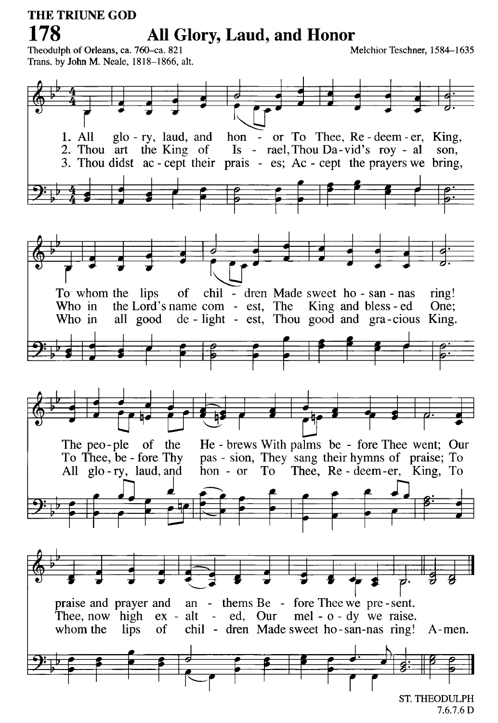#### **THE TRIUNE GOD** 178 All Glory, Laud, and Honor

Theodulph of Orleans, ca. 760-ca. 821 Trans. by John M. Neale, 1818-1866, alt. Melchior Teschner, 1584-1635



 $7.6.7.6 D$